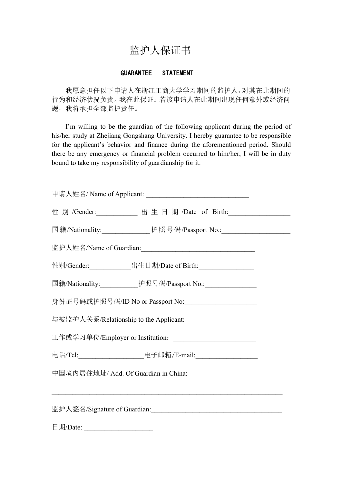## 监护人保证书

## GUARANTEE STATEMENT

我愿意担任以下申请人在浙江工商大学学习期间的监护人,对其在此期间的 行为和经济状况负责。我在此保证:若该申请人在此期间出现任何意外或经济问 题,我将承担全部监护责任。

I'm willing to be the guardian of the following applicant during the period of his/her study at Zhejiang Gongshang University.I hereby guarantee to be responsible for the applicant's behavior and finance during the aforementioned period. Should there be any emergency or financial problem occurred to him/her, I will be in duty bound to take my responsibility of guardianship for it.

| 性 别 /Gender: ___________ 出 生 日 期 /Date of Birth: __________________ |
|---------------------------------------------------------------------|
|                                                                     |
|                                                                     |
| 性别/Gender:________________出生日期/Date of Birth:______________________ |
| 国籍/Nationality:______________护照号码/Passport No.:__________________   |
| 身份证号码或护照号码/ID No or Passport No: _____________________              |
| 与被监护人关系/Relationship to the Applicant:<br>                          |
| 工作或学习单位/Employer or Institution: __________________________         |
| 电话/Tel: ____________________电子邮箱/E-mail: ____________________       |
| 中国境内居住地址/ Add. Of Guardian in China:                                |
| <u> 1989 - Johann Stoff, amerikansk politiker (d. 1989)</u>         |
|                                                                     |

日期/Date: \_\_\_\_\_\_\_\_\_\_\_\_\_\_\_\_\_\_\_\_